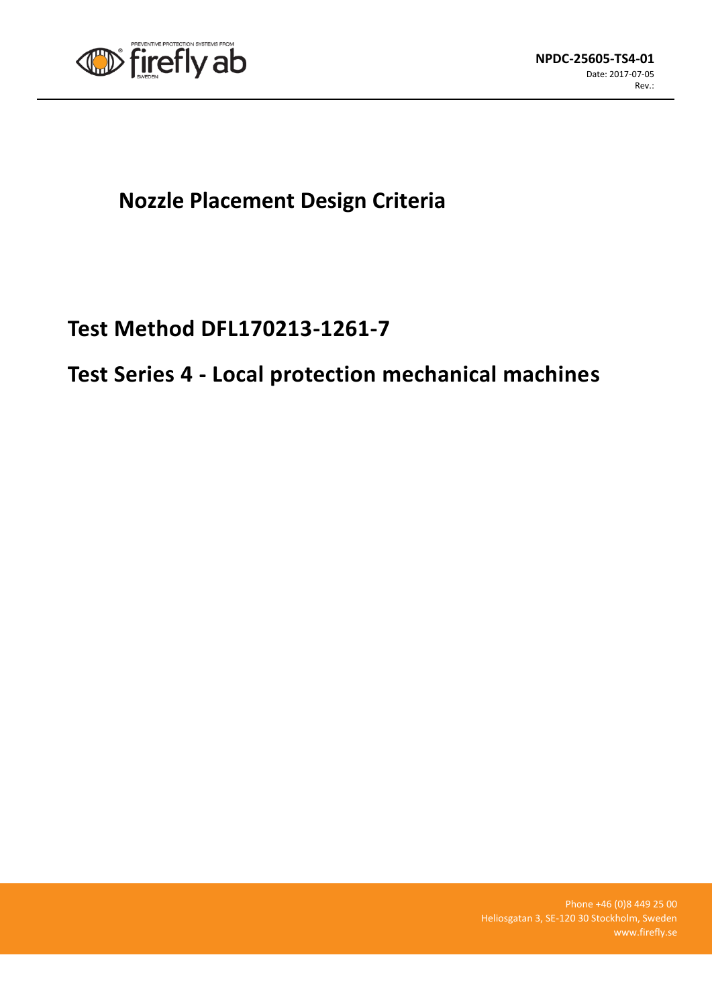

## **Nozzle Placement Design Criteria**

## **Test Method DFL170213-1261-7**

# **Test Series 4 - Local protection mechanical machines**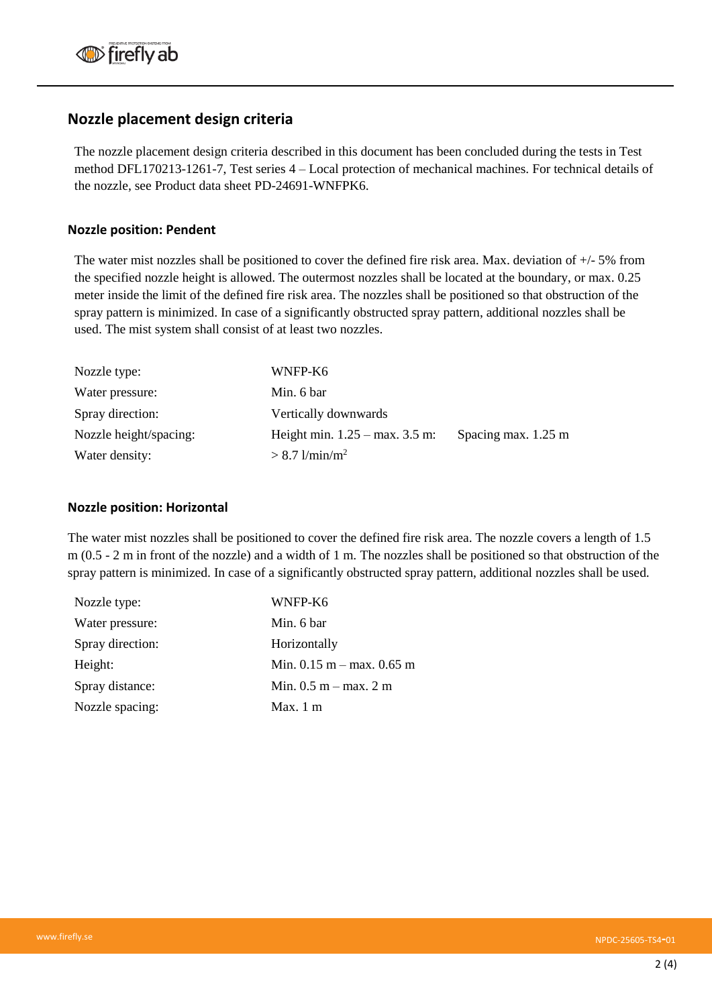### **Nozzle placement design criteria**

The nozzle placement design criteria described in this document has been concluded during the tests in Test method DFL170213-1261-7, Test series 4 – Local protection of mechanical machines. For technical details of the nozzle, see Product data sheet PD-24691-WNFPK6.

### **Nozzle position: Pendent**

The water mist nozzles shall be positioned to cover the defined fire risk area. Max. deviation of +/- 5% from the specified nozzle height is allowed. The outermost nozzles shall be located at the boundary, or max. 0.25 meter inside the limit of the defined fire risk area. The nozzles shall be positioned so that obstruction of the spray pattern is minimized. In case of a significantly obstructed spray pattern, additional nozzles shall be used. The mist system shall consist of at least two nozzles.

| Nozzle type:           | WNFP-K6                                  |                     |
|------------------------|------------------------------------------|---------------------|
| Water pressure:        | Min. 6 bar                               |                     |
| Spray direction:       | Vertically downwards                     |                     |
| Nozzle height/spacing: | Height min. $1.25 - \text{max}$ . 3.5 m: | Spacing max. 1.25 m |
| Water density:         | $> 8.7$ l/min/m <sup>2</sup>             |                     |

#### **Nozzle position: Horizontal**

The water mist nozzles shall be positioned to cover the defined fire risk area. The nozzle covers a length of 1.5 m (0.5 - 2 m in front of the nozzle) and a width of 1 m. The nozzles shall be positioned so that obstruction of the spray pattern is minimized. In case of a significantly obstructed spray pattern, additional nozzles shall be used.

| Nozzle type:     | WNFP-K6                       |
|------------------|-------------------------------|
| Water pressure:  | Min. 6 bar                    |
| Spray direction: | Horizontally                  |
| Height:          | Min. $0.15$ m – max. $0.65$ m |
| Spray distance:  | Min. $0.5$ m – max. 2 m       |
| Nozzle spacing:  | Max. $1 \text{ m}$            |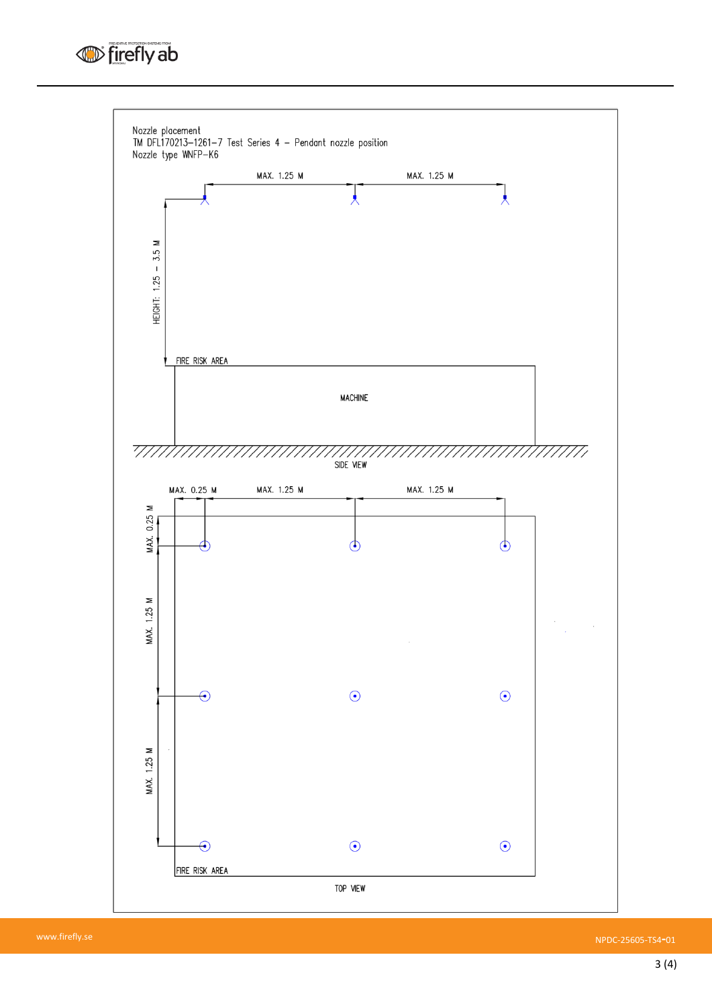